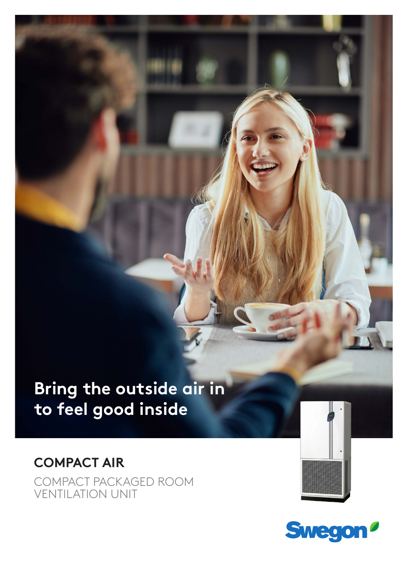# **Bring the outside air in feel good inside to feel good inside**

# **COMPACT AIR** COMPACT PACKAGED ROOM VENTILATION UNIT



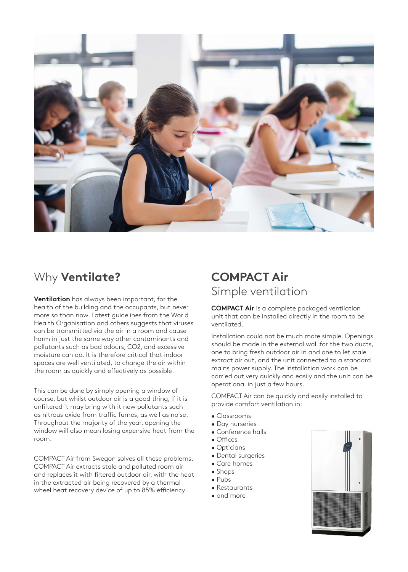

# Why **Ventilate?**

**Ventilation** has always been important, for the health of the building and the occupants, but never more so than now. Latest guidelines from the World Health Organisation and others suggests that viruses can be transmitted via the air in a room and cause harm in just the same way other contaminants and pollutants such as bad odours, CO2, and excessive moisture can do. It is therefore critical that indoor spaces are well ventilated, to change the air within the room as quickly and effectively as possible.

This can be done by simply opening a window of course, but whilst outdoor air is a good thing, if it is unfiltered it may bring with it new pollutants such as nitrous oxide from traffic fumes, as well as noise. Throughout the majority of the year, opening the window will also mean losing expensive heat from the room.

COMPACT Air from Swegon solves all these problems. COMPACT Air extracts stale and polluted room air and replaces it with filtered outdoor air, with the heat in the extracted air being recovered by a thermal wheel heat recovery device of up to 85% efficiency.

# **COMPACT Air** Simple ventilation

**COMPACT Air** is a complete packaged ventilation unit that can be installed directly in the room to be ventilated.

Installation could not be much more simple. Openings should be made in the external wall for the two ducts, one to bring fresh outdoor air in and one to let stale extract air out, and the unit connected to a standard mains power supply. The installation work can be carried out very quickly and easily and the unit can be operational in just a few hours.

COMPACT Air can be quickly and easily installed to provide comfort ventilation in:

- Classrooms
- Day nurseries
- Conference halls
- Offices
- Opticians
- Dental surgeries
- Care homes
- Shops
- Pubs
- Restaurants
- 
- and more

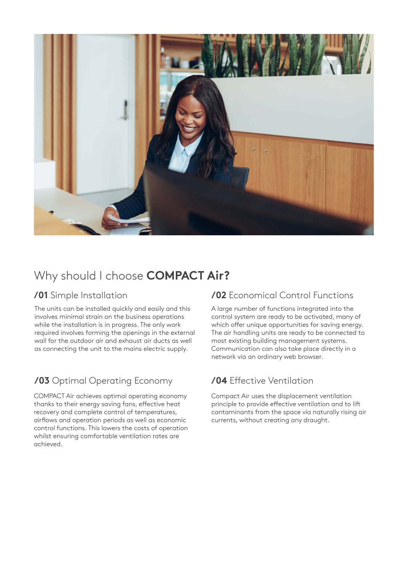

# Why should I choose **COMPACT Air?**

The units can be installed quickly and easily and this involves minimal strain on the business operations while the installation is in progress. The only work required involves forming the openings in the external wall for the outdoor air and exhaust air ducts as well as connecting the unit to the mains electric supply.

### **/03** Optimal Operating Economy

COMPACT Air achieves optimal operating economy thanks to their energy saving fans, effective heat recovery and complete control of temperatures, airflows and operation periods as well as economic control functions. This lowers the costs of operation whilst ensuring comfortable ventilation rates are achieved.

### **/01** Simple Installation **/02** Economical Control Functions

A large number of functions integrated into the control system are ready to be activated, many of which offer unique opportunities for saving energy. The air handling units are ready to be connected to most existing building management systems. Communication can also take place directly in a network via an ordinary web browser.

### **/04** Effective Ventilation

Compact Air uses the displacement ventilation principle to provide effective ventilation and to lift contaminants from the space via naturally rising air currents, without creating any draught.